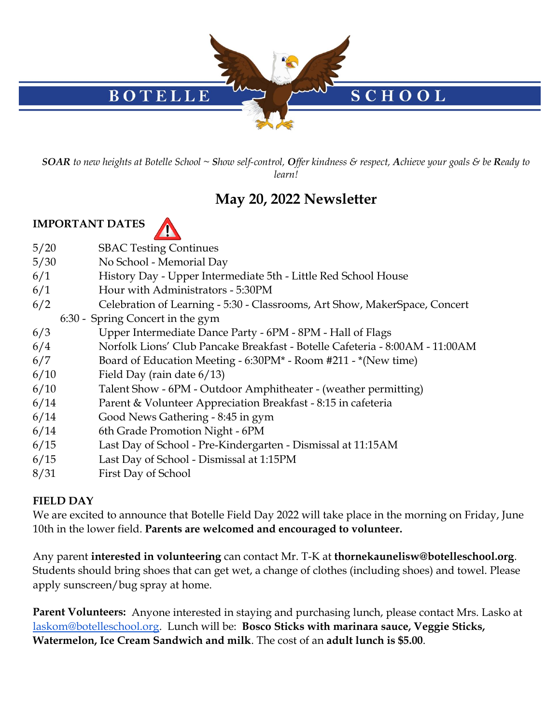

*SOAR to new heights at Botelle School ~ Show self-control, Offer kindness & respect, Achieve your goals & be Ready to learn!*

# **May 20, 2022 Newsletter**

## **IMPORTANT DATES**



- 5/20 SBAC Testing Continues
- 5/30 No School Memorial Day
- 6/1 History Day Upper Intermediate 5th Little Red School House
- 6/1 Hour with Administrators 5:30PM
- 6/2 Celebration of Learning 5:30 Classrooms, Art Show, MakerSpace, Concert
- 6:30 Spring Concert in the gym
- 6/3 Upper Intermediate Dance Party 6PM 8PM Hall of Flags
- 6/4 Norfolk Lions' Club Pancake Breakfast Botelle Cafeteria 8:00AM 11:00AM
- 6/7 Board of Education Meeting 6:30PM\* Room #211 \*(New time)
- 6/10 Field Day (rain date 6/13)
- 6/10 Talent Show 6PM Outdoor Amphitheater (weather permitting)
- 6/14 Parent & Volunteer Appreciation Breakfast 8:15 in cafeteria
- 6/14 Good News Gathering 8:45 in gym
- 6/14 6th Grade Promotion Night 6PM
- 6/15 Last Day of School Pre-Kindergarten Dismissal at 11:15AM
- 6/15 Last Day of School Dismissal at 1:15PM
- 8/31 First Day of School

## **FIELD DAY**

We are excited to announce that Botelle Field Day 2022 will take place in the morning on Friday, June 10th in the lower field. **Parents are welcomed and encouraged to volunteer.** 

Any parent **interested in volunteering** can contact Mr. T-K at **thornekaunelisw@botelleschool.org**. Students should bring shoes that can get wet, a change of clothes (including shoes) and towel. Please apply sunscreen/bug spray at home.

**Parent Volunteers:** Anyone interested in staying and purchasing lunch, please contact Mrs. Lasko at [laskom@botelleschool.org.](mailto:laskom@botelleschool.org) Lunch will be: **Bosco Sticks with marinara sauce, Veggie Sticks, Watermelon, Ice Cream Sandwich and milk**. The cost of an **adult lunch is \$5.00**.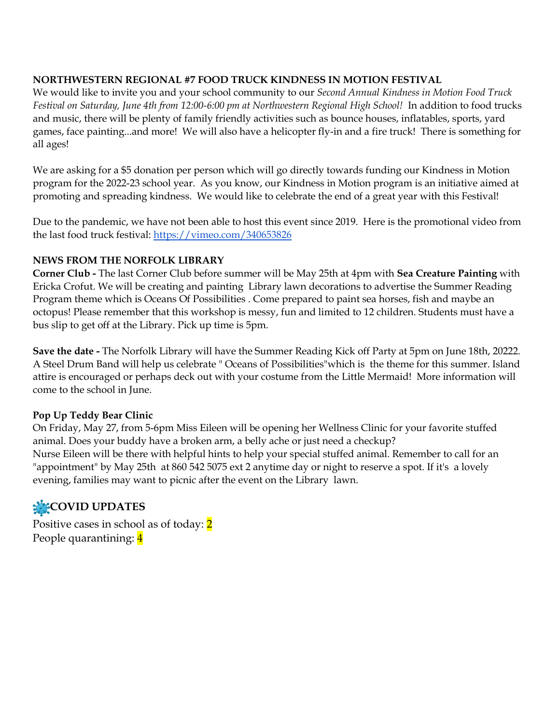#### **NORTHWESTERN REGIONAL #7 FOOD TRUCK KINDNESS IN MOTION FESTIVAL**

We would like to invite you and your school community to our *Second Annual Kindness in Motion Food Truck Festival on Saturday, June 4th from 12:00-6:00 pm at Northwestern Regional High School!* In addition to food trucks and music, there will be plenty of family friendly activities such as bounce houses, inflatables, sports, yard games, face painting...and more! We will also have a helicopter fly-in and a fire truck! There is something for all ages!

We are asking for a \$5 donation per person which will go directly towards funding our Kindness in Motion program for the 2022-23 school year. As you know, our Kindness in Motion program is an initiative aimed at promoting and spreading kindness. We would like to celebrate the end of a great year with this Festival!

Due to the pandemic, we have not been able to host this event since 2019. Here is the promotional video from the last food truck festival:<https://vimeo.com/340653826>

#### **NEWS FROM THE NORFOLK LIBRARY**

**Corner Club -** The last Corner Club before summer will be May 25th at 4pm with **Sea Creature Painting** with Ericka Crofut. We will be creating and painting Library lawn decorations to advertise the Summer Reading Program theme which is Oceans Of Possibilities . Come prepared to paint sea horses, fish and maybe an octopus! Please remember that this workshop is messy, fun and limited to 12 children. Students must have a bus slip to get off at the Library. Pick up time is 5pm.

**Save the date -** The Norfolk Library will have the Summer Reading Kick off Party at 5pm on June 18th, 20222. A Steel Drum Band will help us celebrate " Oceans of Possibilities"which is the theme for this summer. Island attire is encouraged or perhaps deck out with your costume from the Little Mermaid! More information will come to the school in June.

#### **Pop Up Teddy Bear Clinic**

On Friday, May 27, from 5-6pm Miss Eileen will be opening her Wellness Clinic for your favorite stuffed animal. Does your buddy have a broken arm, a belly ache or just need a checkup? Nurse Eileen will be there with helpful hints to help your special stuffed animal. Remember to call for an "appointment" by May 25th at 860 542 5075 ext 2 anytime day or night to reserve a spot. If it's a lovely evening, families may want to picnic after the event on the Library lawn.

## **COVID UPDATES**

Positive cases in school as of today: 2 People quarantining: 4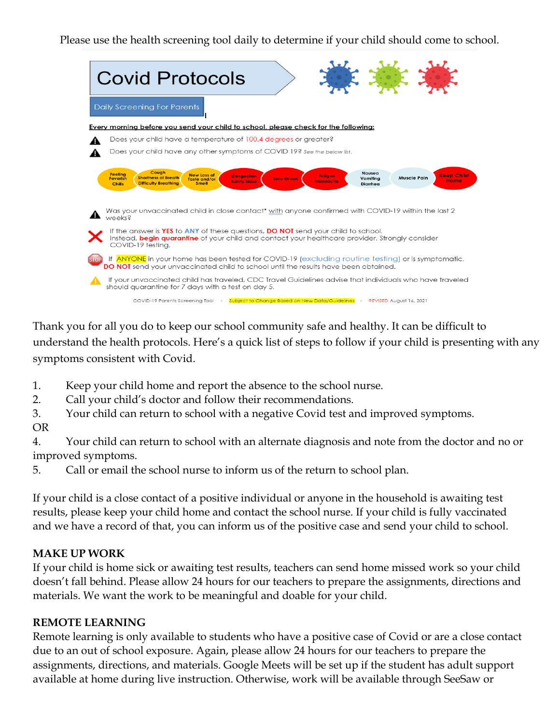Please use the health screening tool daily to determine if your child should come to school.

| <b>Covid Protocols</b>                                                                                                                                                                                                                                                                                                                                                                                                                                                                                |
|-------------------------------------------------------------------------------------------------------------------------------------------------------------------------------------------------------------------------------------------------------------------------------------------------------------------------------------------------------------------------------------------------------------------------------------------------------------------------------------------------------|
| Daily Screening For Parents                                                                                                                                                                                                                                                                                                                                                                                                                                                                           |
| Every morning before you send your child to school, please check for the following:                                                                                                                                                                                                                                                                                                                                                                                                                   |
| Does your child have a temperature of 100.4 degrees or greater?                                                                                                                                                                                                                                                                                                                                                                                                                                       |
| Does your child have any other symptoms of COVID 19? See the below list.                                                                                                                                                                                                                                                                                                                                                                                                                              |
| Cough<br>Nausea<br><b>Feeling</b><br><b>New Loss of</b><br><b>Keep Child</b><br><b>Congestion</b><br><b>Fatigue</b><br><b>Muscle Pain</b><br><b>Shortness of Breath</b><br><b>Feverish</b><br><b>Sore Throat</b><br>Vomiting<br>Taste and/or<br>Home<br><b>Runny Nose</b><br><b>Headache</b><br><b>Difficulty Breathing</b><br><b>Smell</b><br><b>Chills</b><br>Diarrhea<br>Was your unvaccinated child in close contact* with anyone confirmed with COVID-19 within the last 2<br>weeks <sub>8</sub> |
| If the answer is YES to ANY of these questions, DO NOT send your child to school.<br>Instead, <b>begin quarantine</b> of your child and contact your healthcare provider. Stronaly consider<br>COVID-19 testina.                                                                                                                                                                                                                                                                                      |
| If ANYONE in your home has been tested for COVID-19 (excluding routine testing) or is symptomatic,<br>DO NOT send your unvaccinated child to school until the results have been obtained.                                                                                                                                                                                                                                                                                                             |
| If your unvaccinated child has traveled, CDC Travel Guidelines advise that individuals who have traveled<br>should quarantine for 7 days with a test on day 5.                                                                                                                                                                                                                                                                                                                                        |
| COVID-19 Parents Screening Tool - Subject to Change Based on New Data/Guidelines - REVISED August 16, 2021                                                                                                                                                                                                                                                                                                                                                                                            |

Thank you for all you do to keep our school community safe and healthy. It can be difficult to understand the health protocols. Here's a quick list of steps to follow if your child is presenting with any symptoms consistent with Covid.

- 1. Keep your child home and report the absence to the school nurse.
- 2. Call your child's doctor and follow their recommendations.
- 3. Your child can return to school with a negative Covid test and improved symptoms.
- OR

4. Your child can return to school with an alternate diagnosis and note from the doctor and no or improved symptoms.

5. Call or email the school nurse to inform us of the return to school plan.

If your child is a close contact of a positive individual or anyone in the household is awaiting test results, please keep your child home and contact the school nurse. If your child is fully vaccinated and we have a record of that, you can inform us of the positive case and send your child to school.

## **MAKE UP WORK**

If your child is home sick or awaiting test results, teachers can send home missed work so your child doesn't fall behind. Please allow 24 hours for our teachers to prepare the assignments, directions and materials. We want the work to be meaningful and doable for your child.

#### **REMOTE LEARNING**

Remote learning is only available to students who have a positive case of Covid or are a close contact due to an out of school exposure. Again, please allow 24 hours for our teachers to prepare the assignments, directions, and materials. Google Meets will be set up if the student has adult support available at home during live instruction. Otherwise, work will be available through SeeSaw or